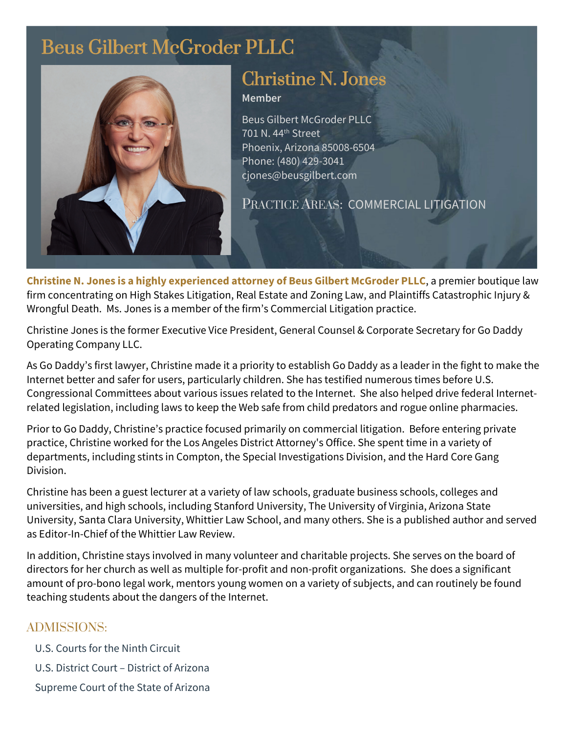## Beus Gilbert McGroder PLLC



# Christine N. Jones

### **Member**

Beus Gilbert McGroder PLLC 701 N. 44<sup>th</sup> Street Phoenix, Arizona 85008-6504 Phone: (480) 429-3041 cjones@beusgilbert.com

PRACTICE AREAS: COMMERCIAL LITIGATION

**Christine N. Jones is a highly experienced attorney of Beus Gilbert McGroder PLLC**, a premier boutique law firm concentrating on High Stakes Litigation, Real Estate and Zoning Law, and Plaintiffs Catastrophic Injury & Wrongful Death. Ms. Jones is a member of the firm's Commercial Litigation practice.

Christine Jones is the former Executive Vice President, General Counsel & Corporate Secretary for Go Daddy Operating Company LLC.

As Go Daddy's first lawyer, Christine made it a priority to establish Go Daddy as a leader in the fight to make the Internet better and safer for users, particularly children. She has testified numerous times before U.S. Congressional Committees about various issues related to the Internet. She also helped drive federal Internetrelated legislation, including laws to keep the Web safe from child predators and rogue online pharmacies.

Prior to Go Daddy, Christine's practice focused primarily on commercial litigation. Before entering private practice, Christine worked for the Los Angeles District Attorney's Office. She spent time in a variety of departments, including stints in Compton, the Special Investigations Division, and the Hard Core Gang Division.

Christine has been a guest lecturer at a variety of law schools, graduate business schools, colleges and universities, and high schools, including Stanford University, The University of Virginia, Arizona State University, Santa Clara University, Whittier Law School, and many others. She is a published author and served as Editor-In-Chief of the Whittier Law Review.

In addition, Christine stays involved in many volunteer and charitable projects. She serves on the board of directors for her church as well as multiple for-profit and non-profit organizations. She does a significant amount of pro-bono legal work, mentors young women on a variety of subjects, and can routinely be found teaching students about the dangers of the Internet.

## ADMISSIONS:

- U.S. Courts for the Ninth Circuit
- U.S. District Court District of Arizona
- Supreme Court of the State of Arizona